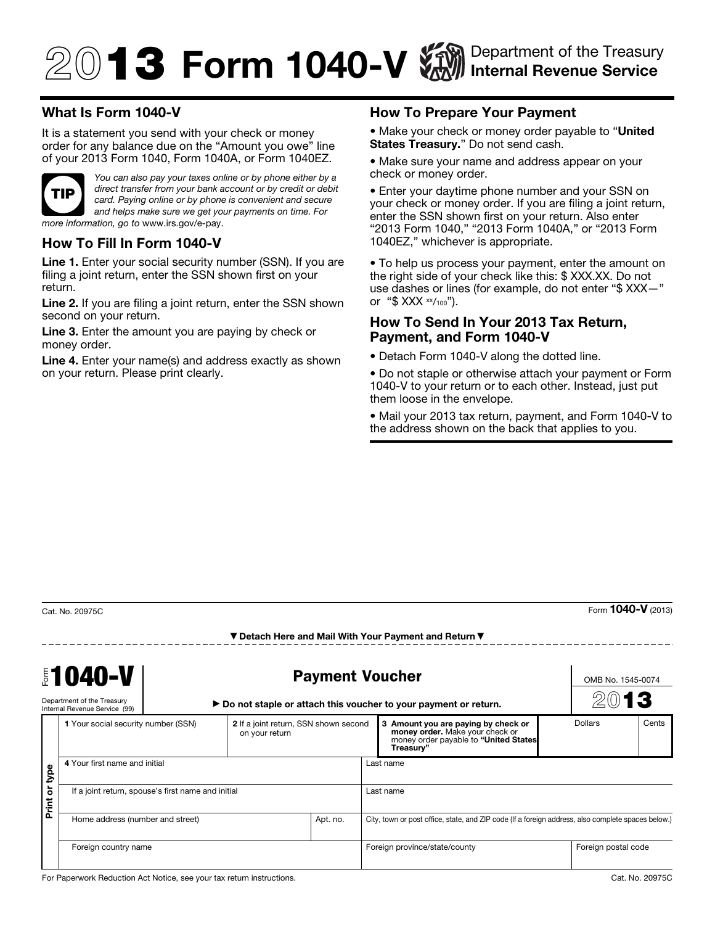# $\textcircled{1}$  3 Form 1040-V  $\textcircled{1}$  Department of the Treasury Internal Revenue Service

## What Is Form 1040-V

It is a statement you send with your check or money order for any balance due on the "Amount you owe" line of your 2013 Form 1040, Form 1040A, or Form 1040EZ.



*You can also pay your taxes online or by phone either by a direct transfer from your bank account or by credit or debit card. Paying online or by phone is convenient and secure and helps make sure we get your payments on time. For more information, go to* www.irs.gov/e-pay.

#### How To Fill In Form 1040-V

Line 1. Enter your social security number (SSN). If you are filing a joint return, enter the SSN shown first on your return.

Line 2. If you are filing a joint return, enter the SSN shown second on your return.

Line 3. Enter the amount you are paying by check or money order.

Line 4. Enter your name(s) and address exactly as shown on your return. Please print clearly.

### How To Prepare Your Payment

• Make your check or money order payable to "United" States Treasury." Do not send cash.

• Make sure your name and address appear on your check or money order.

• Enter your daytime phone number and your SSN on your check or money order. If you are filing a joint return, enter the SSN shown first on your return. Also enter "2013 Form 1040," "2013 Form 1040A," or "2013 Form 1040EZ," whichever is appropriate.

• To help us process your payment, enter the amount on the right side of your check like this: \$ XXX.XX. Do not use dashes or lines (for example, do not enter "\$ XXX—" or " $$ XXX \times \frac{1}{100}$ ").

#### How To Send In Your 2013 Tax Return, Payment, and Form 1040-V

• Detach Form 1040-V along the dotted line.

• Do not staple or otherwise attach your payment or Form 1040-V to your return or to each other. Instead, just put them loose in the envelope.

• Mail your 2013 tax return, payment, and Form 1040-V to the address shown on the back that applies to you.

Form 1040-V (2013)

|                              | <b>\$1040-V</b><br>Department of the Treasury<br>Internal Revenue Service (99) | <b>Payment Voucher</b><br>▶ Do not staple or attach this voucher to your payment or return. |                                                         |          |                                                                                                    |   |                                                                                                                            | OMB No. 1545-0074<br>2013 |         |       |
|------------------------------|--------------------------------------------------------------------------------|---------------------------------------------------------------------------------------------|---------------------------------------------------------|----------|----------------------------------------------------------------------------------------------------|---|----------------------------------------------------------------------------------------------------------------------------|---------------------------|---------|-------|
|                              | 1 Your social security number (SSN)                                            |                                                                                             | 2 If a joint return, SSN shown second<br>on your return |          |                                                                                                    | 3 | Amount you are paying by check or<br>money order. Make your check or<br>money order payable to "United States<br>Treasury" |                           | Dollars | Cents |
| bde                          | 4 Your first name and initial                                                  |                                                                                             |                                                         |          | Last name                                                                                          |   |                                                                                                                            |                           |         |       |
| $\overline{\sigma}$<br>Print | If a joint return, spouse's first name and initial                             |                                                                                             |                                                         |          | Last name                                                                                          |   |                                                                                                                            |                           |         |       |
|                              | Home address (number and street)                                               |                                                                                             |                                                         | Apt. no. | City, town or post office, state, and ZIP code (If a foreign address, also complete spaces below.) |   |                                                                                                                            |                           |         |       |
|                              | Foreign country name                                                           |                                                                                             |                                                         |          | Foreign province/state/county                                                                      |   |                                                                                                                            | Foreign postal code       |         |       |

▼ Detach Here and Mail With Your Payment and Return ▼